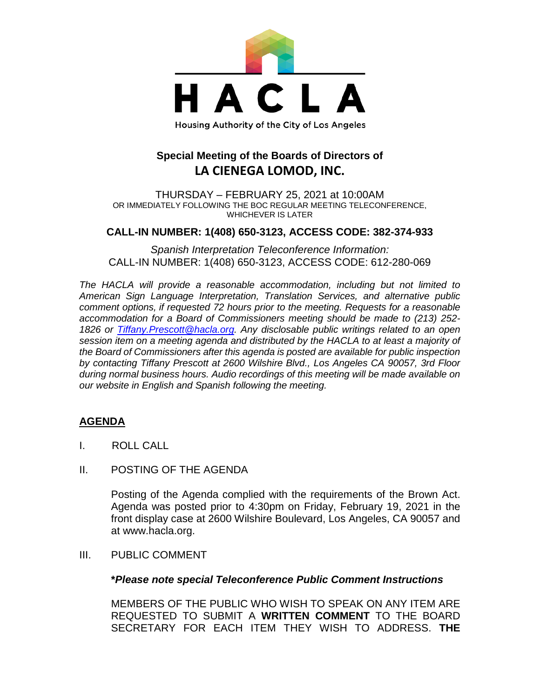

# **Special Meeting of the Boards of Directors of LA CIENEGA LOMOD, INC.**

THURSDAY – FEBRUARY 25, 2021 at 10:00AM OR IMMEDIATELY FOLLOWING THE BOC REGULAR MEETING TELECONFERENCE, WHICHEVER IS LATER

## **CALL-IN NUMBER: 1(408) 650-3123, ACCESS CODE: 382-374-933**

*Spanish Interpretation Teleconference Information:* CALL-IN NUMBER: 1(408) 650-3123, ACCESS CODE: 612-280-069

*The HACLA will provide a reasonable accommodation, including but not limited to American Sign Language Interpretation, Translation Services, and alternative public comment options, if requested 72 hours prior to the meeting. Requests for a reasonable accommodation for a Board of Commissioners meeting should be made to (213) 252- 1826 or Tiffany.Prescott@hacla.org. Any disclosable public writings related to an open session item on a meeting agenda and distributed by the HACLA to at least a majority of the Board of Commissioners after this agenda is posted are available for public inspection by contacting Tiffany Prescott at 2600 Wilshire Blvd., Los Angeles CA 90057, 3rd Floor during normal business hours. Audio recordings of this meeting will be made available on our website in English and Spanish following the meeting.*

## **AGENDA**

- I. ROLL CALL
- II. POSTING OF THE AGENDA

Posting of the Agenda complied with the requirements of the Brown Act. Agenda was posted prior to 4:30pm on Friday, February 19, 2021 in the front display case at 2600 Wilshire Boulevard, Los Angeles, CA 90057 and at www.hacla.org.

III. PUBLIC COMMENT

#### **\****Please note special Teleconference Public Comment Instructions*

MEMBERS OF THE PUBLIC WHO WISH TO SPEAK ON ANY ITEM ARE REQUESTED TO SUBMIT A **WRITTEN COMMENT** TO THE BOARD SECRETARY FOR EACH ITEM THEY WISH TO ADDRESS. **THE**